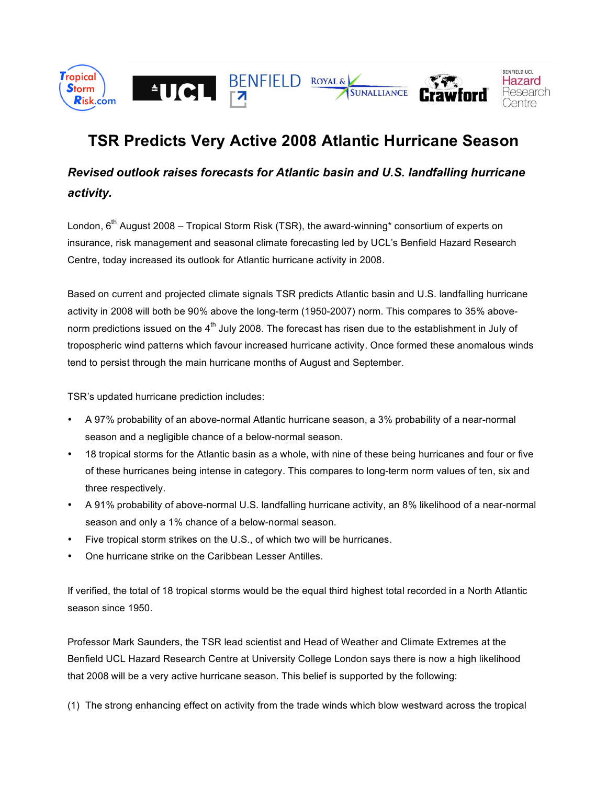

## **TSR Predicts Very Active 2008 Atlantic Hurricane Season**

## *Revised outlook raises forecasts for Atlantic basin and U.S. landfalling hurricane activity.*

London,  $6<sup>th</sup>$  August 2008 – Tropical Storm Risk (TSR), the award-winning\* consortium of experts on insurance, risk management and seasonal climate forecasting led by UCL's Benfield Hazard Research Centre, today increased its outlook for Atlantic hurricane activity in 2008.

Based on current and projected climate signals TSR predicts Atlantic basin and U.S. landfalling hurricane activity in 2008 will both be 90% above the long-term (1950-2007) norm. This compares to 35% abovenorm predictions issued on the  $4<sup>th</sup>$  July 2008. The forecast has risen due to the establishment in July of tropospheric wind patterns which favour increased hurricane activity. Once formed these anomalous winds tend to persist through the main hurricane months of August and September.

TSR's updated hurricane prediction includes:

- A 97% probability of an above-normal Atlantic hurricane season, a 3% probability of a near-normal season and a negligible chance of a below-normal season.
- 18 tropical storms for the Atlantic basin as a whole, with nine of these being hurricanes and four or five of these hurricanes being intense in category. This compares to long-term norm values of ten, six and three respectively.
- A 91% probability of above-normal U.S. landfalling hurricane activity, an 8% likelihood of a near-normal season and only a 1% chance of a below-normal season.
- Five tropical storm strikes on the U.S., of which two will be hurricanes.
- One hurricane strike on the Caribbean Lesser Antilles.

If verified, the total of 18 tropical storms would be the equal third highest total recorded in a North Atlantic season since 1950.

Professor Mark Saunders, the TSR lead scientist and Head of Weather and Climate Extremes at the Benfield UCL Hazard Research Centre at University College London says there is now a high likelihood that 2008 will be a very active hurricane season. This belief is supported by the following:

(1) The strong enhancing effect on activity from the trade winds which blow westward across the tropical